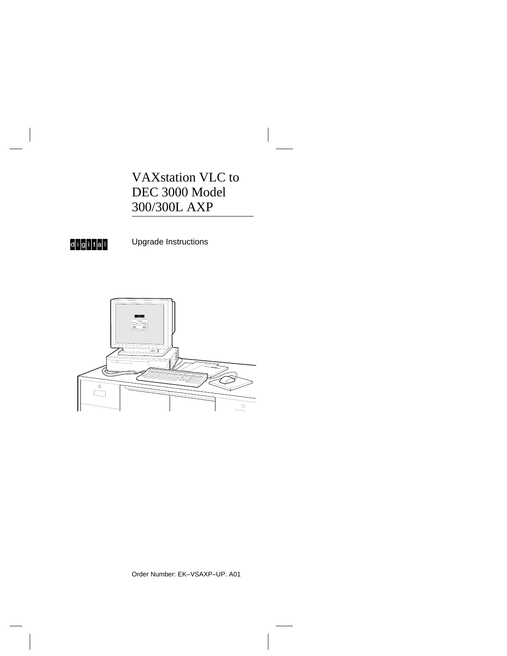VAXstation VLC to DEC 3000 Model 300/300L AXP



Upgrade Instructions



Order Number: EK–VSAXP–UP. A01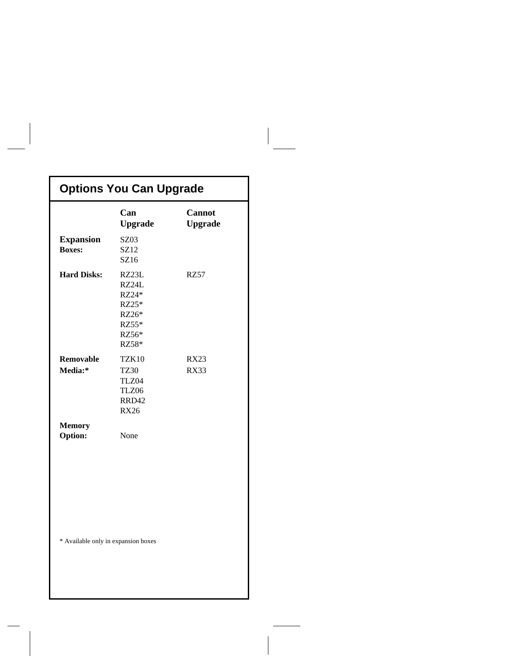| <b>Options You Can Upgrade</b>      |                                                                      |                                 |  |  |
|-------------------------------------|----------------------------------------------------------------------|---------------------------------|--|--|
|                                     | Can<br><b>Upgrade</b>                                                | <b>Cannot</b><br><b>Upgrade</b> |  |  |
| <b>Expansion</b><br><b>Boxes:</b>   | SZ03<br>SZ12<br>SZ16                                                 |                                 |  |  |
| <b>Hard Disks:</b>                  | RZ23L<br>RZ24L<br>RZ24*<br>RZ25*<br>RZ26*<br>RZ55*<br>RZ56*<br>RZ58* | RZ57                            |  |  |
| Removable<br>Media:*                | TZK10<br><b>TZ30</b><br>TLZ04<br>TLZ06<br>RRD42<br><b>RX26</b>       | <b>RX23</b><br><b>RX33</b>      |  |  |
| <b>Memory</b><br>Option:            | None                                                                 |                                 |  |  |
| * Available only in expansion boxes |                                                                      |                                 |  |  |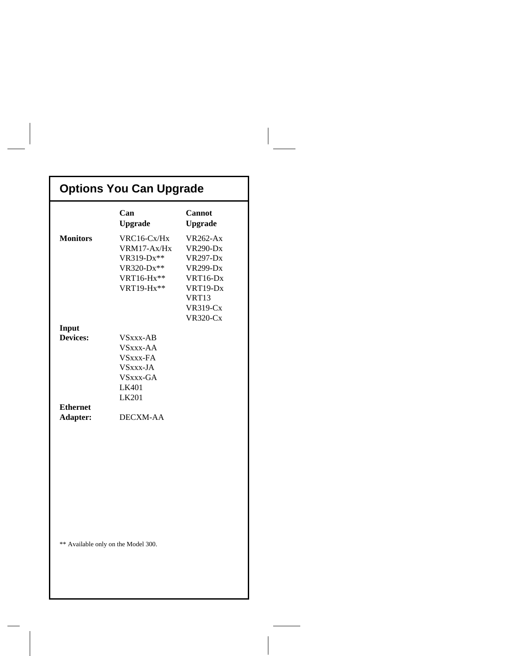# **Options You Can Upgrade**

|                                     | Can<br><b>Upgrade</b>                                                              | <b>Cannot</b><br><b>Upgrade</b>                                                                                                                 |  |  |
|-------------------------------------|------------------------------------------------------------------------------------|-------------------------------------------------------------------------------------------------------------------------------------------------|--|--|
| <b>Monitors</b>                     | VRC16-Cx/Hx<br>VRM17-Ax/Hx<br>VR319-Dx**<br>VR320-Dx**<br>VRT16-Hx**<br>VRT19-Hx** | <b>VR262-Ax</b><br><b>VR290-Dx</b><br><b>VR297-Dx</b><br><b>VR299-Dx</b><br>VRT16-Dx<br>VRT19-Dx<br>VRT13<br><b>VR319-Cx</b><br><b>VR320-Cx</b> |  |  |
| Input<br><b>Devices:</b>            |                                                                                    |                                                                                                                                                 |  |  |
|                                     | VSxxx-AB<br>VSxxx-AA                                                               |                                                                                                                                                 |  |  |
|                                     | VSxxx-FA                                                                           |                                                                                                                                                 |  |  |
|                                     | VSxxx-JA                                                                           |                                                                                                                                                 |  |  |
|                                     | VSxxx-GA                                                                           |                                                                                                                                                 |  |  |
|                                     | LK401                                                                              |                                                                                                                                                 |  |  |
|                                     | LK201                                                                              |                                                                                                                                                 |  |  |
| <b>Ethernet</b>                     |                                                                                    |                                                                                                                                                 |  |  |
| Adapter:                            | <b>DECXM-AA</b>                                                                    |                                                                                                                                                 |  |  |
|                                     |                                                                                    |                                                                                                                                                 |  |  |
|                                     |                                                                                    |                                                                                                                                                 |  |  |
|                                     |                                                                                    |                                                                                                                                                 |  |  |
|                                     |                                                                                    |                                                                                                                                                 |  |  |
|                                     |                                                                                    |                                                                                                                                                 |  |  |
| ** Available only on the Model 300. |                                                                                    |                                                                                                                                                 |  |  |
|                                     |                                                                                    |                                                                                                                                                 |  |  |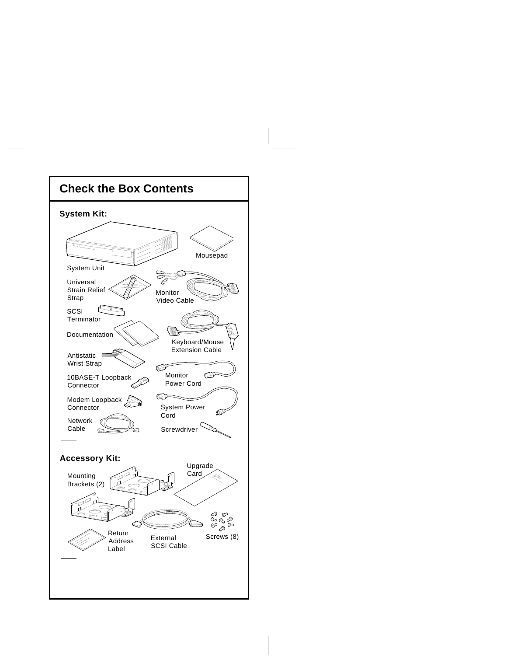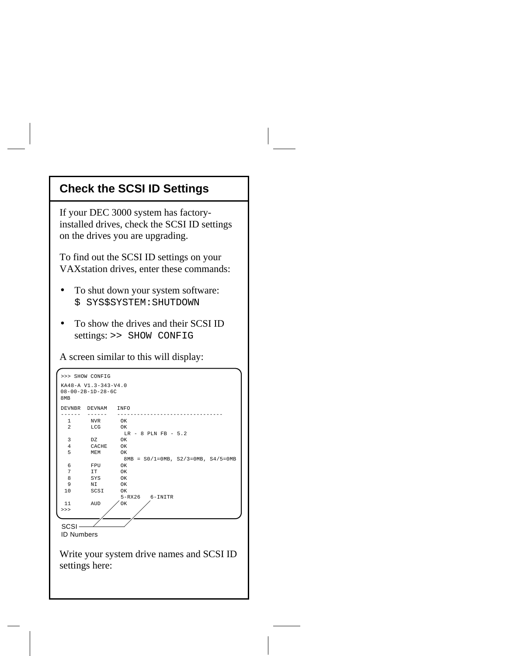### **Check the SCSI ID Settings**

If your DEC 3000 system has factoryinstalled drives, check the SCSI ID settings on the drives you are upgrading.

To find out the SCSI ID settings on your VAXstation drives, enter these commands:

- To shut down your system software: \$ SYS\$SYSTEM:SHUTDOWN
- To show the drives and their SCSI ID settings: >> SHOW CONFIG

A screen similar to this will display:

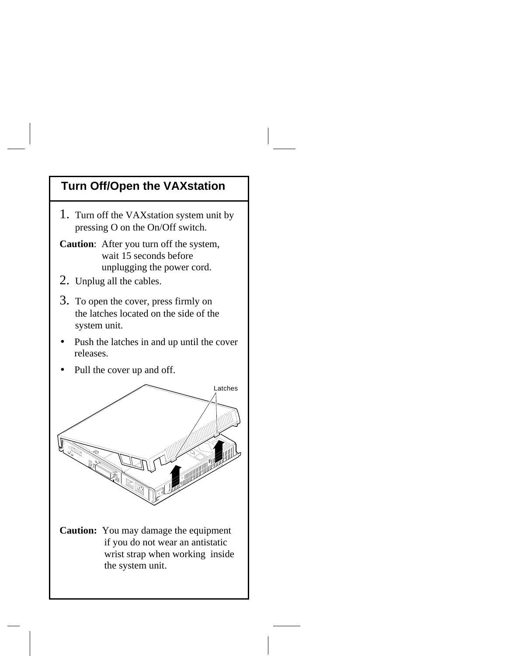# **Turn Off/Open the VAXstation**

- 1. Turn off the VAXstation system unit by pressing O on the On/Off switch.
- **Caution**: After you turn off the system, wait 15 seconds before unplugging the power cord.
- 2. Unplug all the cables.
- 3. To open the cover, press firmly on the latches located on the side of the system unit.
- Push the latches in and up until the cover releases.
- Pull the cover up and off.

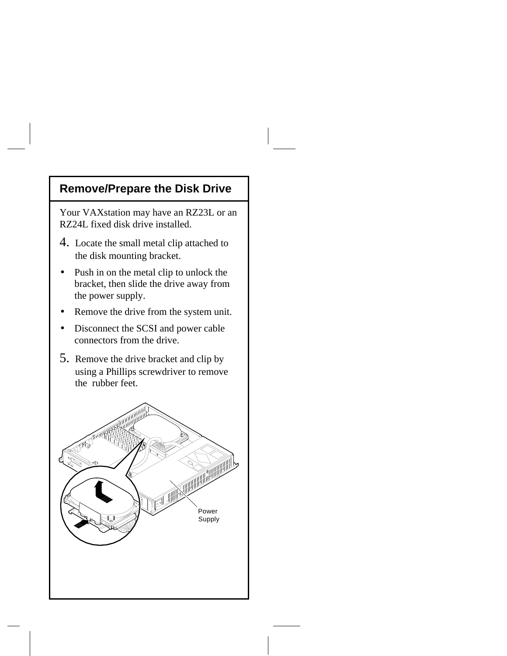# **Remove/Prepare the Disk Drive**

Your VAXstation may have an RZ23L or an RZ24L fixed disk drive installed.

- 4. Locate the small metal clip attached to the disk mounting bracket.
- Push in on the metal clip to unlock the bracket, then slide the drive away from the power supply.
- Remove the drive from the system unit.
- Disconnect the SCSI and power cable connectors from the drive.
- 5. Remove the drive bracket and clip by using a Phillips screwdriver to remove the rubber feet.

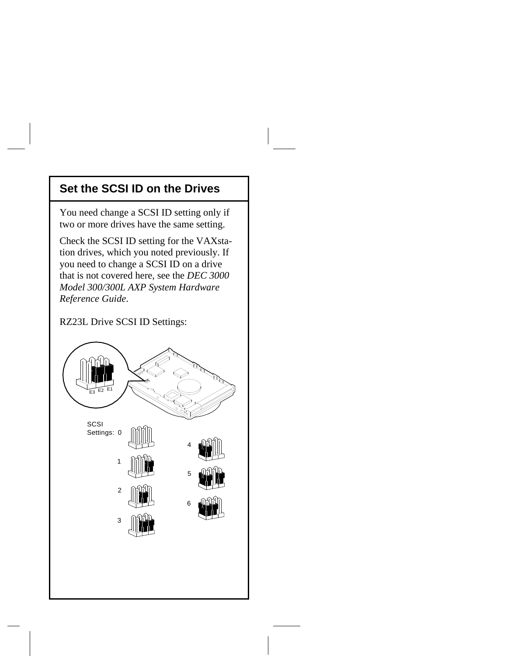#### **Set the SCSI ID on the Drives**

You need change a SCSI ID setting only if two or more drives have the same setting.

Check the SCSI ID setting for the VAXstation drives, which you noted previously. If you need to change a SCSI ID on a drive that is not covered here, see the *DEC 3000 Model 300/300L AXP System Hardware Reference Guide*.

#### RZ23L Drive SCSI ID Settings:

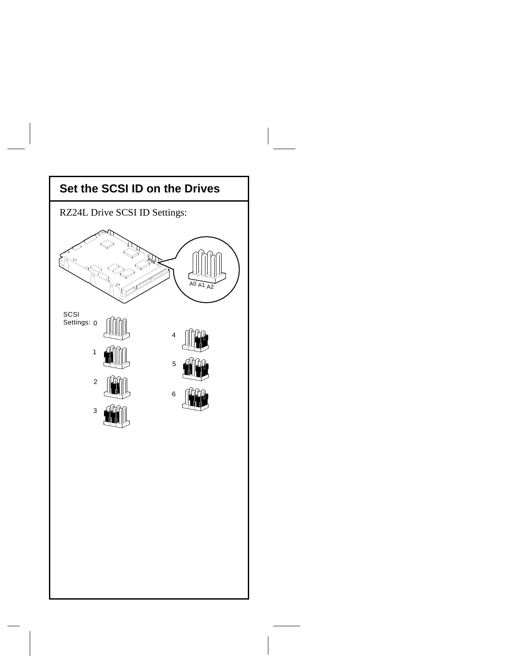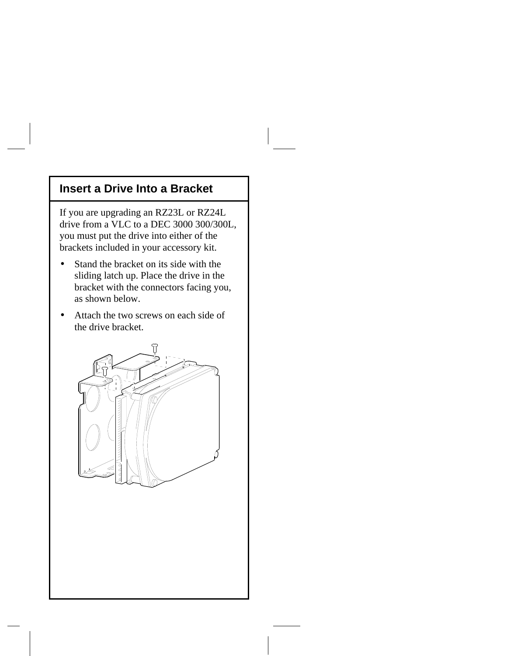#### **Insert a Drive Into a Bracket**

If you are upgrading an RZ23L or RZ24L drive from a VLC to a DEC 3000 300/300L, you must put the drive into either of the brackets included in your accessory kit.

- Stand the bracket on its side with the sliding latch up. Place the drive in the bracket with the connectors facing you, as shown below.
- Attach the two screws on each side of the drive bracket.

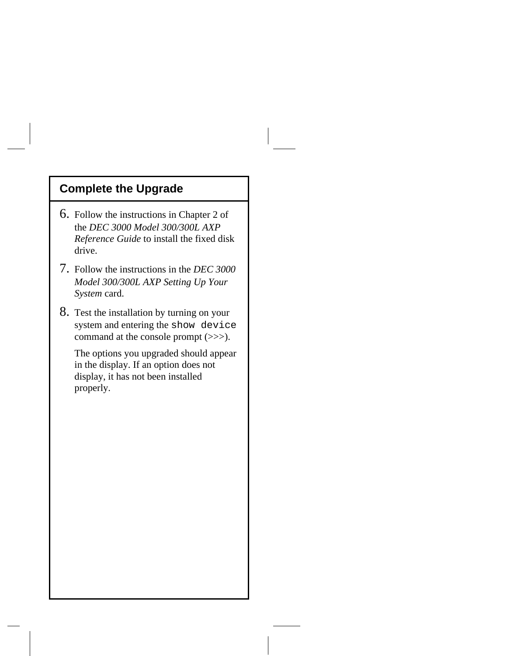# **Complete the Upgrade**

- 6. Follow the instructions in Chapter 2 of the *DEC 3000 Model 300/300L AXP Reference Guide* to install the fixed disk drive.
- 7. Follow the instructions in the *DEC 3000 Model 300/300L AXP Setting Up Your System* card.
- 8. Test the installation by turning on your system and entering the show device command at the console prompt (>>>).

The options you upgraded should appear in the display. If an option does not display, it has not been installed properly.